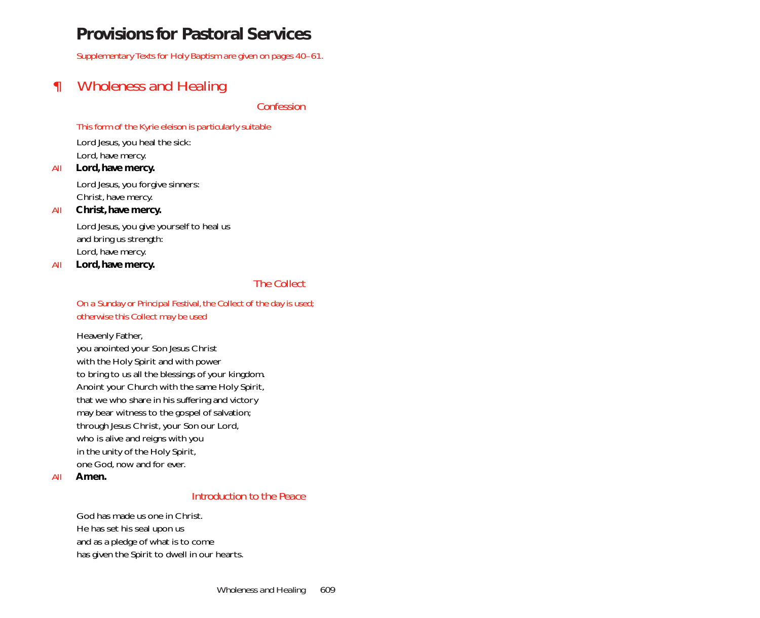# **Provisions for Pastoral Services**

*Supplementary Texts for Holy Baptism are given on pages 40–61.*

# *¶ Wholeness and Healing*

*Confession*

# *This form of the Kyrie eleison is particularly suitable*

Lord Jesus, you heal the sick: Lord, have mercy.

#### *All* **Lord, have mercy.**

Lord Jesus, you forgive sinners: Christ, have mercy.

# *All* **Christ, have mercy.**

Lord Jesus, you give yourself to heal us and bring us strength: Lord, have mercy.

*All* **Lord, have mercy.**

# *The Collect*

*On a Sunday or Principal Festival, the Collect of the day is used; otherwise this Collect may be used*

Heavenly Father, you anointed your Son Jesus Christ with the Holy Spirit and with power to bring to us all the blessings of your kingdom. Anoint your Church with the same Holy Spirit, that we who share in his suffering and victory may bear witness to the gospel of salvation; through Jesus Christ, your Son our Lord, who is alive and reigns with you in the unity of the Holy Spirit, one God, now and for ever.

*All* **Amen.**

# *Introduction to the Peace*

God has made us one in Christ. He has set his seal upon us and as a pledge of what is to come has given the Spirit to dwell in our hearts.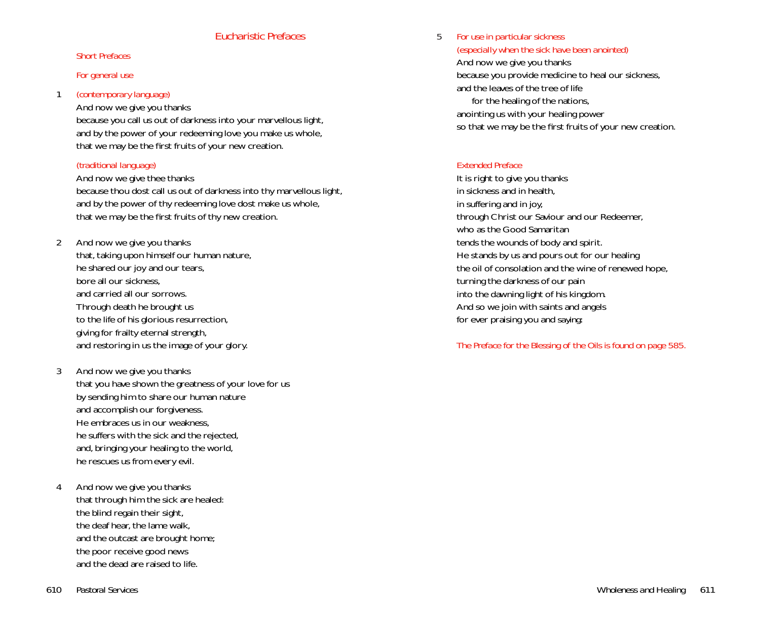# *Eucharistic Prefaces*

#### *Short Prefaces*

#### *For general use*

## <sup>1</sup> *(contemporary language)*

## And now we give you thanks

because you call us out of darkness into your marvellous light, and by the power of your redeeming love you make us whole, that we may be the first fruits of your new creation.

# *(traditional language)*

#### And now we give thee thanks

because thou dost call us out of darkness into thy marvellous light, and by the power of thy redeeming love dost make us whole, that we may be the first fruits of thy new creation.

2 And now we give you thanks

that, taking upon himself our human nature, he shared our joy and our tears, bore all our sickness, and carried all our sorrows. Through death he brought us to the life of his glorious resurrection, giving for frailty eternal strength, and restoring in us the image of your glory.

- 3 And now we give you thanks that you have shown the greatness of your love for us by sending him to share our human nature and accomplish our forgiveness. He embraces us in our weakness, he suffers with the sick and the rejected, and, bringing your healing to the world, he rescues us from every evil.
- 4 And now we give you thanks that through him the sick are healed: the blind regain their sight, the deaf hear, the lame walk, and the outcast are brought home; the poor receive good news and the dead are raised to life.

5 *For use in particular sickness* 

*(especially when the sick have been anointed)* And now we give you thanks because you provide medicine to heal our sickness, and the leaves of the tree of life for the healing of the nations, anointing us with your healing power so that we may be the first fruits of your new creation.

# *Extended Preface*

It is right to give you thanks in sickness and in health, in suffering and in joy, through Christ our Saviour and our Redeemer, who as the Good Samaritan tends the wounds of body and spirit. He stands by us and pours out for our healing the oil of consolation and the wine of renewed hope, turning the darkness of our pain into the dawning light of his kingdom. And so we join with saints and angels for ever praising you and *saying*:

# *The Preface for the Blessing of the Oils is found on page 585.*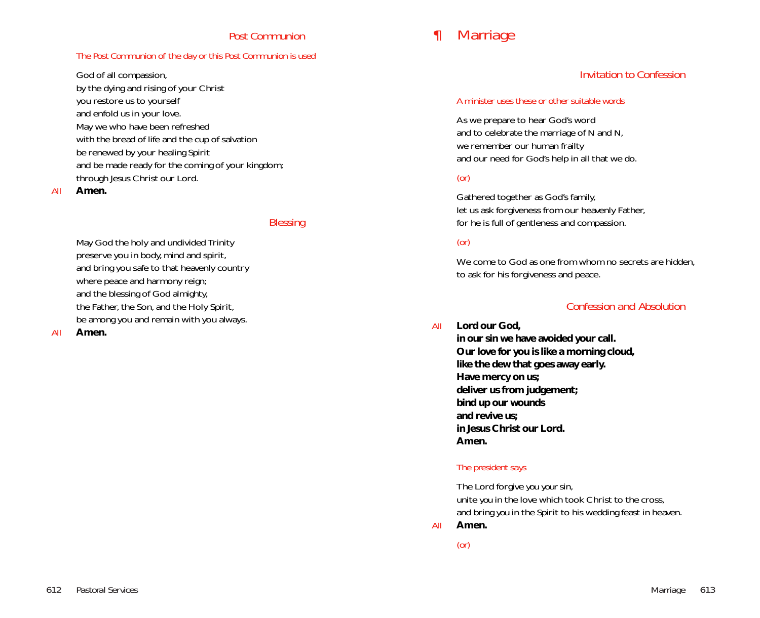# *Post Communion*

### *The Post Communion of the day or this Post Communion is used*

God of all compassion,

by the dying and rising of your Christ you restore us to yourself and enfold us in your love. May we who have been refreshed with the bread of life and the cup of salvation be renewed by your healing Spirit and be made ready for the coming of your kingdom; through Jesus Christ our Lord.

#### *All* **Amen.**

#### *Blessing*

May God the holy and undivided Trinity preserve you in body, mind and spirit, and bring you safe to that heavenly country where peace and harmony reign; and the blessing of God almighty, the Father, the Son, and the Holy Spirit, be among you and remain with you always.

#### *All* **Amen.**

# *¶ Marriage*

# *Invitation to Confession*

#### *A minister uses these or other suitable words*

As we prepare to hear God's word and to celebrate the marriage of *N* and *N*, we remember our human frailty and our need for God's help in all that we do.

# *(or)*

Gathered together as God's family, let us ask forgiveness from our heavenly Father, for he is full of gentleness and compassion.

#### *(or)*

We come to God as one from whom no secrets are hidden. to ask for his forgiveness and peace.

# *Confession and Absolution*

*All* **Lord our God,**

**in our sin we have avoided your call. Our love for you is like a morning cloud, like the dew that goes away early. Have mercy on us; deliver us from judgement; bind up our wounds and revive us; in Jesus Christ our Lord. Amen.**

# *The president says*

The Lord forgive *you your* sin, unite *you* in the love which took Christ to the cross, and bring *you* in the Spirit to his wedding feast in heaven. *All* **Amen.**

*(or)*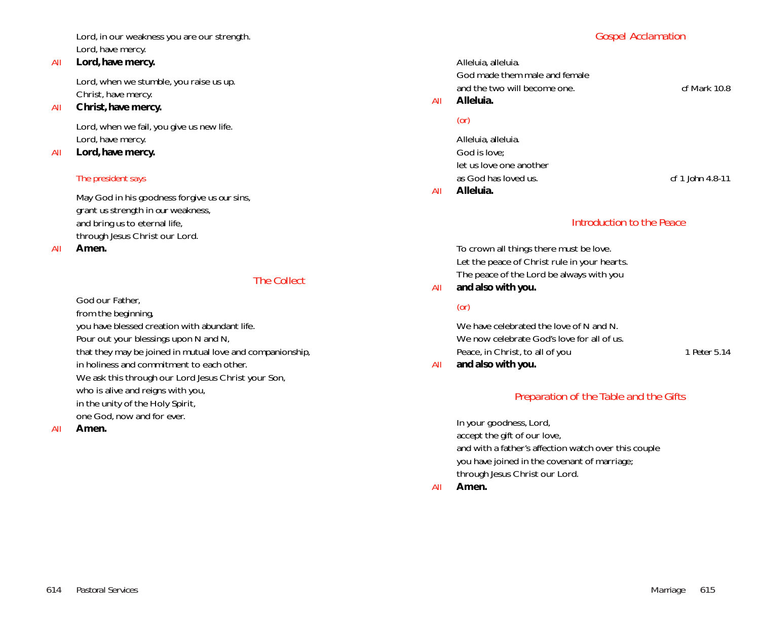Lord, in our weakness you are our strength. Lord, have mercy.

#### *All* **Lord, have mercy.**

Lord, when we stumble, you raise us up. Christ, have mercy.

#### *All* **Christ, have mercy.**

Lord, when we fail, you give us new life. Lord, have mercy.

# *All* **Lord, have mercy.**

# *The president says*

May God in his goodness forgive *us our* sins, grant *us* strength in *our* weakness, and bring *us* to eternal life, through Jesus Christ our Lord.

*All* **Amen.**

# *The Collect*

God our Father,

from the beginning, you have blessed creation with abundant life. Pour out your blessings upon *N* and *N,* that they may be joined in mutual love and companionship, in holiness and commitment to each other. We ask this through our Lord Jesus Christ your Son, who is alive and reigns with you, in the unity of the Holy Spirit, one God, now and for ever.

*All* **Amen.**

# *Gospel Acclamation*

Alleluia, alleluia. God made them male and female and the two will become one. *cf Mark 10.8 All* **Alleluia.**

# *(or)*

Alleluia, alleluia. God is love; let us love one another as God has loved us. *cf 1 John 4.8-11 All* **Alleluia.**

# *Introduction to the Peace*

To crown all things there must be love. Let the peace of Christ rule in your hearts. The peace of the Lord be always with you *All* **and also with you.**

# *(or)*

We have celebrated the love of *N* and *N*. We now celebrate God's love for all of us. Peace, in Christ, to all of you *1 Peter 5.14 All* **and also with you.**

# *Preparation of the Table and the Gifts*

In your goodness, Lord, accept the gift of our love, and with a father's affection watch over this couple you have joined in the covenant of marriage; through Jesus Christ our Lord.

*All* **Amen.**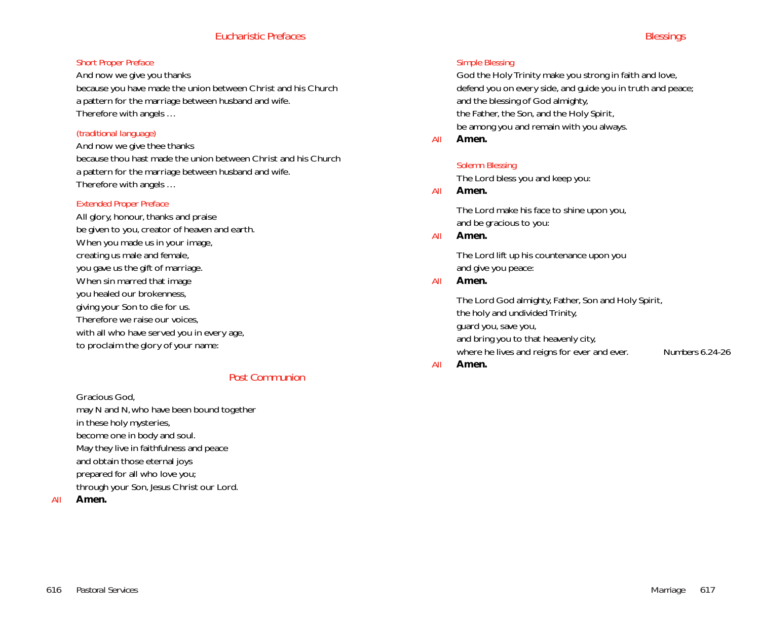# *Eucharistic Prefaces*

# *Short Proper Preface*

And now we give you thanks because you have made the union between Christ and his Church a pattern for the marriage between husband and wife. Therefore with angels …

# *(traditional language)*

And now we give thee thanks because thou hast made the union between Christ and his Church a pattern for the marriage between husband and wife. Therefore with angels …

# *Extended Proper Preface*

All glory, honour, thanks and praise be given to you, creator of heaven and earth. When you made us in your image, creating us male and female, you gave us the gift of marriage. When sin marred that image you healed our brokenness, giving your Son to die for us. Therefore we raise our voices, with all who have served you in every age, to proclaim the glory of your name:

# *Post Communion*

Gracious God, may *N* and *N,* who have been bound together in these holy mysteries, become one in body and soul. May they live in faithfulness and peace and obtain those eternal joys prepared for all who love you; through your Son, Jesus Christ our Lord.

*All* **Amen.**

# *Simple Blessing*

God the Holy Trinity make you strong in faith and love, defend you on every side, and guide you in truth and peace; and the blessing of God almighty, the Father, the Son, and the Holy Spirit, be among you and remain with you always.

*All* **Amen.**

# *Solemn Blessing*

The Lord bless you and keep you:

# *All* **Amen.**

The Lord make his face to shine upon you, and be gracious to you:

*All* **Amen.**

The Lord lift up his countenance upon you and give you peace:

#### *All* **Amen.**

The Lord God almighty, Father, Son and Holy Spirit, the holy and undivided Trinity, guard you, save you, and bring you to that heavenly city, where he lives and reigns for ever and ever. *Numbers 6.24-26 All* **Amen.**

616 *Pastoral Services Marriage* 617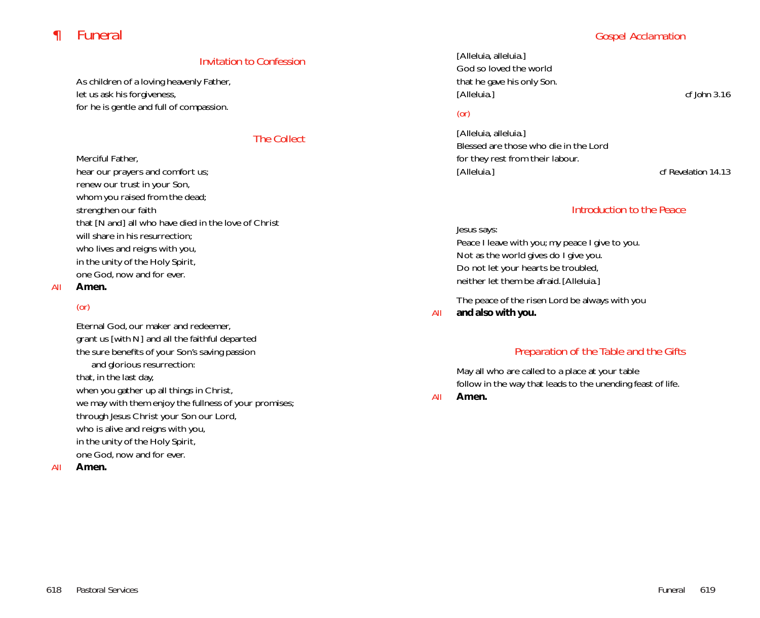# *¶ Funeral*

# *Gospel Acclamation*

# *Invitation to Confession*

As children of a loving heavenly Father, let us ask his forgiveness, for he is gentle and full of compassion.

# *The Collect*

Merciful Father,

hear our prayers and comfort us; renew our trust in your Son, whom you raised from the dead; strengthen our faith that [*N and*] all who have died in the love of Christ will share in his resurrection; who lives and reigns with you, in the unity of the Holy Spirit, one God, now and for ever.

#### *All* **Amen.**

# *(or)*

Eternal God, our maker and redeemer, grant us [*with N*] and all the faithful departed the sure benefits of your Son's saving passion and glorious resurrection: that, in the last day, when you gather up all things in Christ, we may with them enjoy the fullness of your promises; through Jesus Christ your Son our Lord, who is alive and reigns with you, in the unity of the Holy Spirit, one God, now and for ever.

# *All* **Amen.**

[Alleluia, alleluia.] God so loved the world that he gave his only Son. [Alleluia.] *cf John 3.16*

# *(or)*

[Alleluia, alleluia.] Blessed are those who die in the Lord for they rest from their labour. [Alleluia.] *cf Revelation 14.13*

# *Introduction to the Peace*

Jesus says: Peace I leave with you; my peace I give to you. Not as the world gives do I give you. Do not let your hearts be troubled, neither let them be afraid. [Alleluia.]

The peace of the risen Lord be always with you

*All* **and also with you.**

# *Preparation of the Table and the Gifts*

May all who are called to a place at your table follow in the way that leads to the unending feast of life.

*All* **Amen.**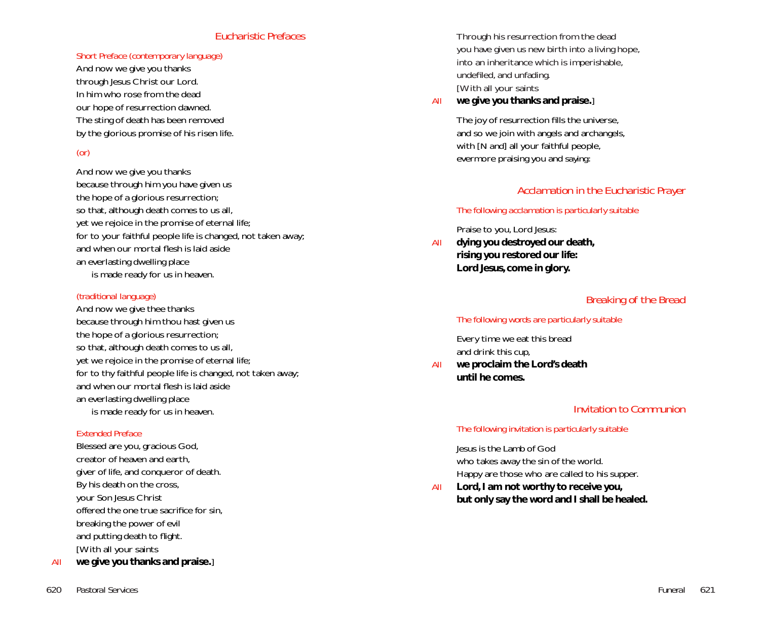# *Eucharistic Prefaces*

#### *Short Preface (contemporary language)*

And now we give you thanks through Jesus Christ our Lord. In him who rose from the dead our hope of resurrection dawned. The sting of death has been removed by the glorious promise of his risen life.

## *(or)*

And now we give you thanks because through him you have given us the hope of a glorious resurrection; so that, although death comes to us all, yet we rejoice in the promise of eternal life; for to your faithful people life is changed, not taken away; and when our mortal flesh is laid aside an everlasting dwelling place is made ready for us in heaven.

#### *(traditional language)*

And now we give thee thanks because through him thou hast given us the hope of a glorious resurrection; so that, although death comes to us all, yet we rejoice in the promise of eternal life; for to thy faithful people life is changed, not taken away; and when our mortal flesh is laid aside an everlasting dwelling place is made ready for us in heaven.

#### *Extended Preface*

Blessed are you, gracious God, creator of heaven and earth, giver of life, and conqueror of death. By his death on the cross, your Son Jesus Christ offered the one true sacrifice for sin, breaking the power of evil and putting death to flight. [With all your saints

*All* **we give you thanks and praise.**]

Through his resurrection from the dead you have given us new birth into a living hope, into an inheritance which is imperishable, undefiled, and unfading. [With all your saints

#### *All* **we give you thanks and praise.**]

The joy of resurrection fills the universe, and so we join with angels and archangels, with [*N and*] all your faithful people, evermore praising you and *saying*:

# *Acclamation in the Eucharistic Prayer*

#### *The following acclamation is particularly suitable*

Praise to you, Lord Jesus:

*All* **dying you destroyed our death, rising you restored our life: Lord Jesus, come in glory.**

# *Breaking of the Bread*

#### *The following words are particularly suitable*

Every time we eat this bread and drink this cup,

*All* **we proclaim the Lord's death until he comes.**

# *Invitation to Communion*

#### *The following invitation is particularly suitable*

Jesus is the Lamb of God who takes away the sin of the world. Happy are those who are called to his supper.

*All* **Lord, I am not worthy to receive you, but only say the word and I shall be healed.**